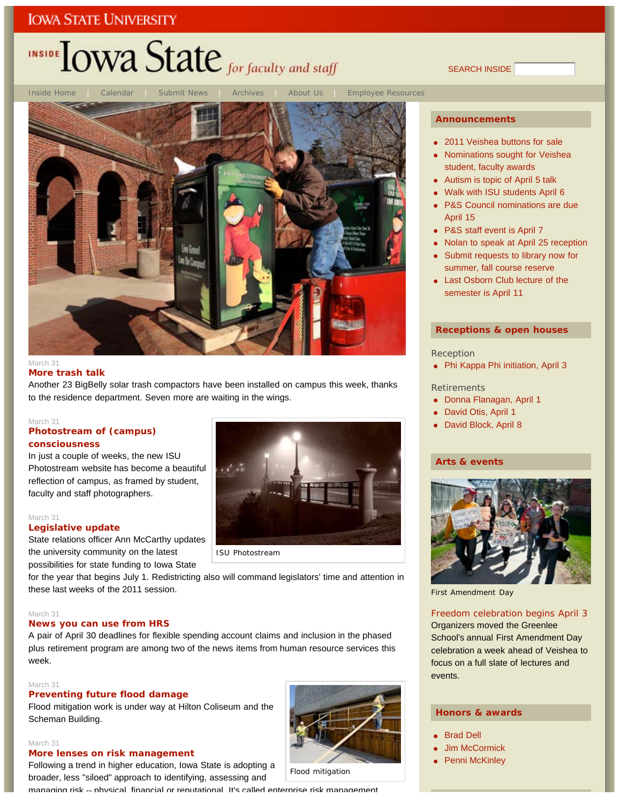## INSIDE **LOWA State** for faculty and staff

SEARCH INSIDE



### **More trash talk**

Another 23 BigBelly solar trash compactors have been installed on campus this week, thanks to the residence department. Seven more are waiting in the wings.

#### March 31

### **Photostream of (campus) consciousness**

In just a couple of weeks, the new ISU Photostream website has become a beautiful reflection of campus, as framed by student, faculty and staff photographers.

#### March 31

### **Legislative update**

State relations officer Ann McCarthy updates the university community on the latest possibilities for state funding to Iowa State



for the year that begins July 1. Redistricting also will command legislators' time and attention in these last weeks of the 2011 session.

#### March 31

### **News you can use from HRS**

A pair of April 30 deadlines for flexible spending account claims and inclusion in the phased plus retirement program are among two of the news items from human resource services this week.

### March 31

March 31

### **Preventing future flood damage**

**More lenses on risk management**

Flood mitigation work is under way at Hilton Coliseum and the Scheman Building.

Following a trend in higher education, Iowa State is adopting a broader, less "siloed" approach to identifying, assessing and

Flood mitigation

managing risk -- physical financial or reputational It's called enterprise risk management

### **Announcements**

- 2011 Veishea buttons for sale
- Nominations sought for Veishea student, faculty awards
- Autism is topic of April 5 talk
- Walk with ISU students April 6
- P&S Council nominations are due April 15
- P&S staff event is April 7
- Nolan to speak at April 25 reception
- Submit requests to library now for summer, fall course reserve
- Last Osborn Club lecture of the semester is April 11

### **Receptions & open houses**

#### Reception

• Phi Kappa Phi initiation, April 3

#### **Retirements**

- Donna Flanagan, April 1
- David Otis, April 1
- David Block, April 8

### **Arts & events**



First Amendment Day

### Freedom celebration begins April 3

Organizers moved the Greenlee School's annual First Amendment Day celebration a week ahead of Veishea to focus on a full slate of lectures and events.

### **Honors & awards**

- Brad Dell
- Jim McCormick
- Penni McKinley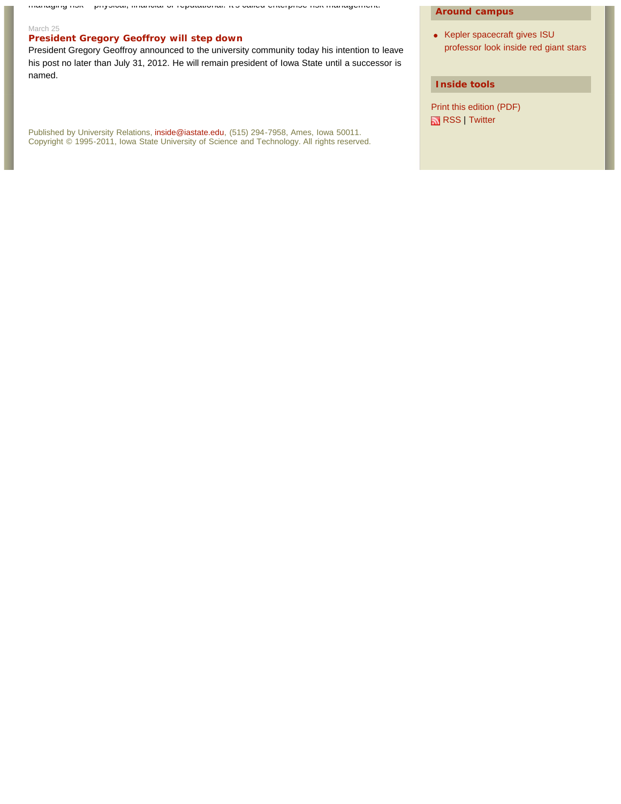managing risk physical, financial or reputational. It s called enterprise risk management.

### March 25

### **President Gregory Geoffroy will step down**

President Gregory Geoffroy announced to the university community today his intention to leave his post no later than July 31, 2012. He will remain president of Iowa State until a successor is named.

Published by University Relations, inside@iastate.edu, (515) 294-7958, Ames, Iowa 50011. Copyright © 1995-2011, Iowa State University of Science and Technology. All rights reserved.

### **Around campus**

• Kepler spacecraft gives ISU professor look inside red giant stars

### **Inside tools**

Print this edition (PDF) RSS | Twitter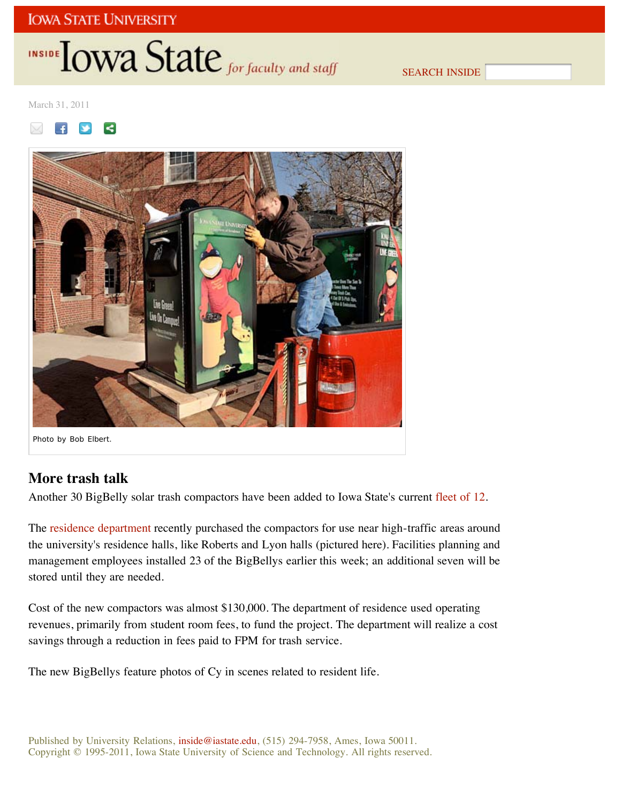## INSIDE **IOWA State** for faculty and staff

SEARCH INSIDE

March 31, 2011





## **More trash talk**

Another 30 BigBelly solar trash compactors have been added to Iowa State's current fleet of 12.

The residence department recently purchased the compactors for use near high-traffic areas around the university's residence halls, like Roberts and Lyon halls (pictured here). Facilities planning and management employees installed 23 of the BigBellys earlier this week; an additional seven will be stored until they are needed.

Cost of the new compactors was almost \$130,000. The department of residence used operating revenues, primarily from student room fees, to fund the project. The department will realize a cost savings through a reduction in fees paid to FPM for trash service.

The new BigBellys feature photos of Cy in scenes related to resident life.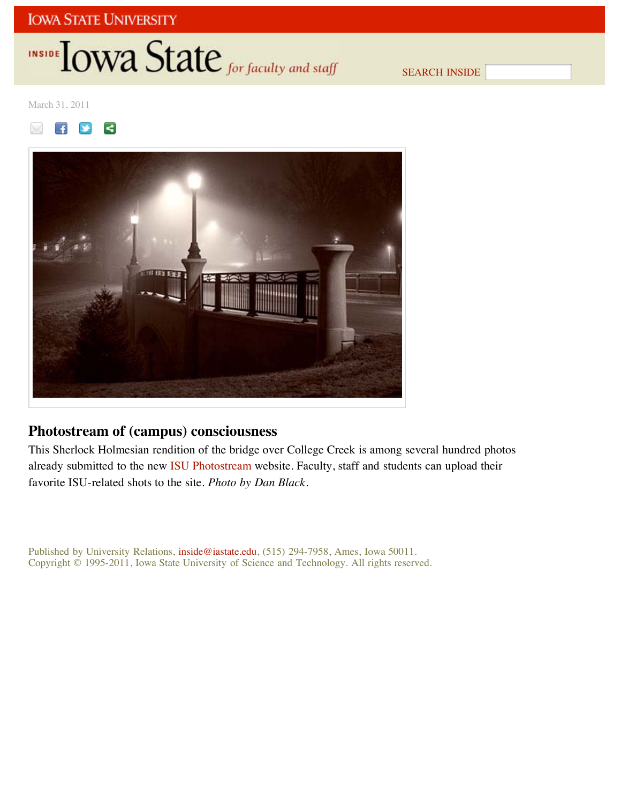## INSIDE **IOWA State** for faculty and staff

SEARCH INSIDE

March 31, 2011





## **Photostream of (campus) consciousness**

This Sherlock Holmesian rendition of the bridge over College Creek is among several hundred photos already submitted to the new ISU Photostream website. Faculty, staff and students can upload their favorite ISU-related shots to the site. *Photo by Dan Black*.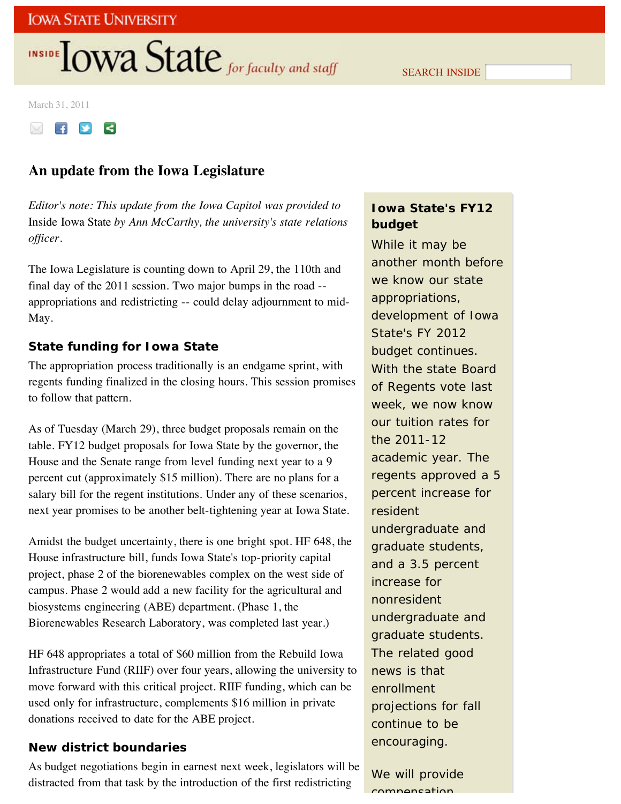# INSIDE **LOWA State** for faculty and staff

SEARCH INSIDE

March 31, 2011



## **An update from the Iowa Legislature**

*Editor's note: This update from the Iowa Capitol was provided to* Inside Iowa State *by Ann McCarthy, the university's state relations officer.*

The Iowa Legislature is counting down to April 29, the 110th and final day of the 2011 session. Two major bumps in the road - appropriations and redistricting -- could delay adjournment to mid-May.

### **State funding for Iowa State**

The appropriation process traditionally is an endgame sprint, with regents funding finalized in the closing hours. This session promises to follow that pattern.

As of Tuesday (March 29), three budget proposals remain on the table. FY12 budget proposals for Iowa State by the governor, the House and the Senate range from level funding next year to a 9 percent cut (approximately \$15 million). There are no plans for a salary bill for the regent institutions. Under any of these scenarios, next year promises to be another belt-tightening year at Iowa State.

Amidst the budget uncertainty, there is one bright spot. HF 648, the House infrastructure bill, funds Iowa State's top-priority capital project, phase 2 of the biorenewables complex on the west side of campus. Phase 2 would add a new facility for the agricultural and biosystems engineering (ABE) department. (Phase 1, the Biorenewables Research Laboratory, was completed last year.)

HF 648 appropriates a total of \$60 million from the Rebuild Iowa Infrastructure Fund (RIIF) over four years, allowing the university to move forward with this critical project. RIIF funding, which can be used only for infrastructure, complements \$16 million in private donations received to date for the ABE project.

### **New district boundaries**

As budget negotiations begin in earnest next week, legislators will be distracted from that task by the introduction of the first redistricting

## **Iowa State's FY12 budget**

While it may be another month before we know our state appropriations, development of Iowa State's FY 2012 budget continues. With the state Board of Regents vote last week, we now know our tuition rates for the 2011-12 academic year. The regents approved a 5 percent increase for resident undergraduate and graduate students, and a 3.5 percent increase for nonresident undergraduate and graduate students. The related good news is that enrollment projections for fall continue to be encouraging.

We will provide compensation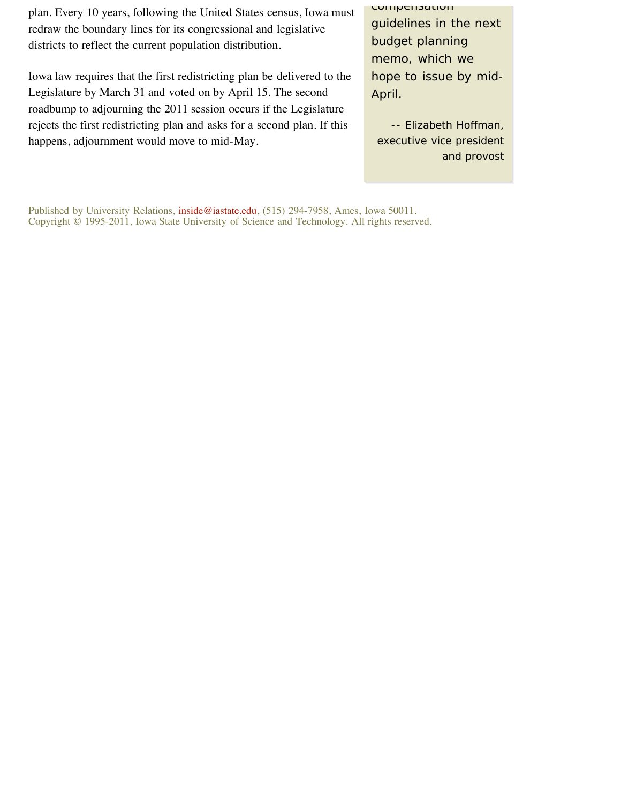plan. Every 10 years, following the United States census, Iowa must redraw the boundary lines for its congressional and legislative districts to reflect the current population distribution.

Iowa law requires that the first redistricting plan be delivered to the Legislature by March 31 and voted on by April 15. The second roadbump to adjourning the 2011 session occurs if the Legislature rejects the first redistricting plan and asks for a second plan. If this happens, adjournment would move to mid-May.

compensation guidelines in the next budget planning memo, which we hope to issue by mid-April.

*-- Elizabeth Hoffman, executive vice president and provost*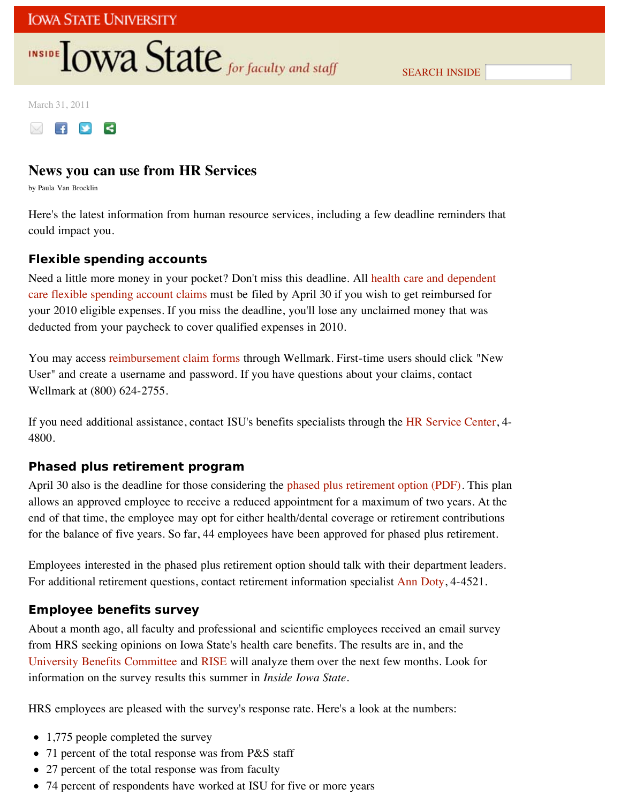## INSIDE **IOWA State** for faculty and staff

SEARCH INSIDE

March 31, 2011



## **News you can use from HR Services**

by Paula Van Brocklin

Here's the latest information from human resource services, including a few deadline reminders that could impact you.

### **Flexible spending accounts**

Need a little more money in your pocket? Don't miss this deadline. All health care and dependent care flexible spending account claims must be filed by April 30 if you wish to get reimbursed for your 2010 eligible expenses. If you miss the deadline, you'll lose any unclaimed money that was deducted from your paycheck to cover qualified expenses in 2010.

You may access reimbursement claim forms through Wellmark. First-time users should click "New User" and create a username and password. If you have questions about your claims, contact Wellmark at (800) 624-2755.

If you need additional assistance, contact ISU's benefits specialists through the HR Service Center, 4- 4800.

### **Phased plus retirement program**

April 30 also is the deadline for those considering the phased plus retirement option (PDF). This plan allows an approved employee to receive a reduced appointment for a maximum of two years. At the end of that time, the employee may opt for either health/dental coverage or retirement contributions for the balance of five years. So far, 44 employees have been approved for phased plus retirement.

Employees interested in the phased plus retirement option should talk with their department leaders. For additional retirement questions, contact retirement information specialist Ann Doty, 4-4521.

### **Employee benefits survey**

About a month ago, all faculty and professional and scientific employees received an email survey from HRS seeking opinions on Iowa State's health care benefits. The results are in, and the University Benefits Committee and RISE will analyze them over the next few months. Look for information on the survey results this summer in *Inside Iowa State*.

HRS employees are pleased with the survey's response rate. Here's a look at the numbers:

- 1,775 people completed the survey
- 71 percent of the total response was from P&S staff
- 27 percent of the total response was from faculty
- 74 percent of respondents have worked at ISU for five or more years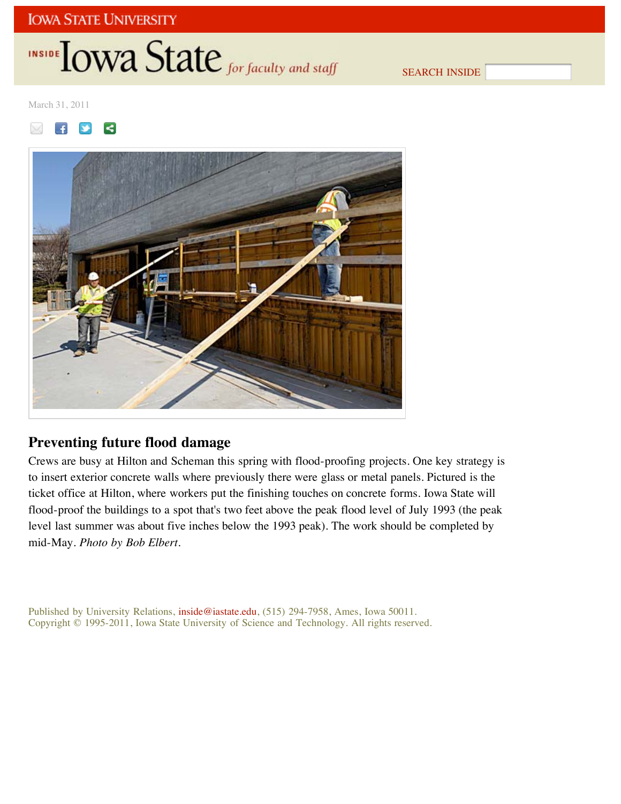## INSIDE **IOWA State** for faculty and staff

SEARCH INSIDE

March 31, 2011





## **Preventing future flood damage**

Crews are busy at Hilton and Scheman this spring with flood-proofing projects. One key strategy is to insert exterior concrete walls where previously there were glass or metal panels. Pictured is the ticket office at Hilton, where workers put the finishing touches on concrete forms. Iowa State will flood-proof the buildings to a spot that's two feet above the peak flood level of July 1993 (the peak level last summer was about five inches below the 1993 peak). The work should be completed by mid-May. *Photo by Bob Elbert.*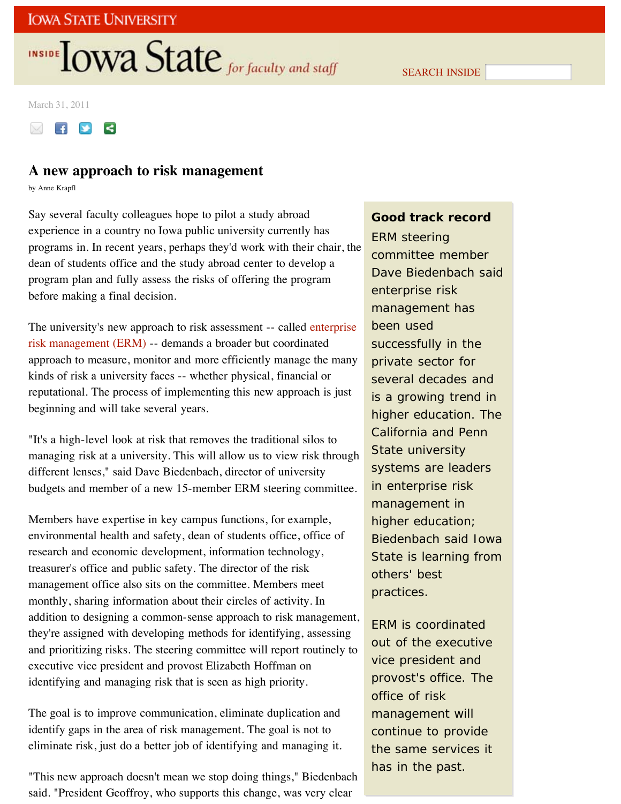# INSIDE **LOWA State** for faculty and staff

SEARCH INSIDE

March 31, 2011



### **A new approach to risk management**

by Anne Krapfl

Say several faculty colleagues hope to pilot a study abroad experience in a country no Iowa public university currently has programs in. In recent years, perhaps they'd work with their chair, the dean of students office and the study abroad center to develop a program plan and fully assess the risks of offering the program before making a final decision.

The university's new approach to risk assessment -- called enterprise risk management (ERM) -- demands a broader but coordinated approach to measure, monitor and more efficiently manage the many kinds of risk a university faces -- whether physical, financial or reputational. The process of implementing this new approach is just beginning and will take several years.

"It's a high-level look at risk that removes the traditional silos to managing risk at a university. This will allow us to view risk through different lenses," said Dave Biedenbach, director of university budgets and member of a new 15-member ERM steering committee.

Members have expertise in key campus functions, for example, environmental health and safety, dean of students office, office of research and economic development, information technology, treasurer's office and public safety. The director of the risk management office also sits on the committee. Members meet monthly, sharing information about their circles of activity. In addition to designing a common-sense approach to risk management, they're assigned with developing methods for identifying, assessing and prioritizing risks. The steering committee will report routinely to executive vice president and provost Elizabeth Hoffman on identifying and managing risk that is seen as high priority.

The goal is to improve communication, eliminate duplication and identify gaps in the area of risk management. The goal is not to eliminate risk, just do a better job of identifying and managing it.

"This new approach doesn't mean we stop doing things," Biedenbach said. "President Geoffroy, who supports this change, was very clear

### **Good track record**

ERM steering committee member Dave Biedenbach said enterprise risk management has been used successfully in the private sector for several decades and is a growing trend in higher education. The California and Penn State university systems are leaders in enterprise risk management in higher education; Biedenbach said Iowa State is learning from others' best practices.

ERM is coordinated out of the executive vice president and provost's office. The office of risk management will continue to provide the same services it has in the past.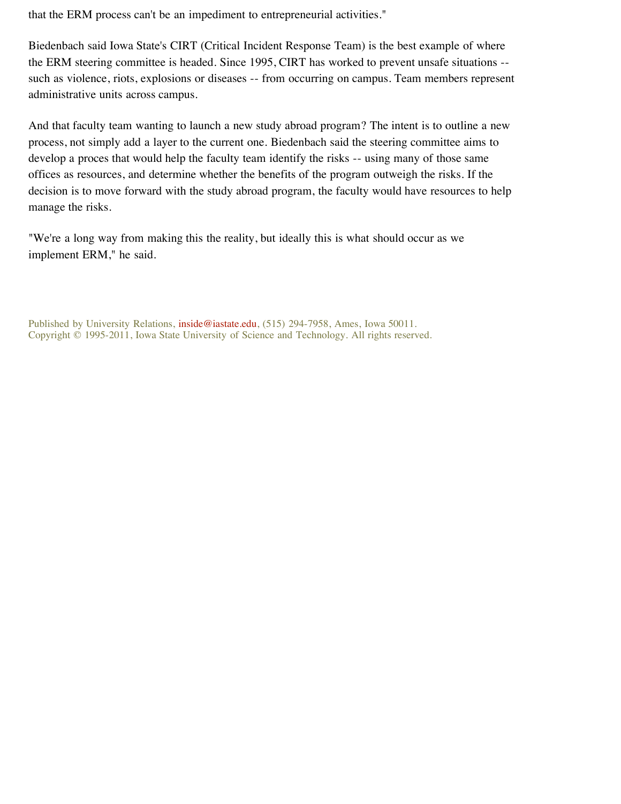that the ERM process can't be an impediment to entrepreneurial activities."

Biedenbach said Iowa State's CIRT (Critical Incident Response Team) is the best example of where the ERM steering committee is headed. Since 1995, CIRT has worked to prevent unsafe situations - such as violence, riots, explosions or diseases -- from occurring on campus. Team members represent administrative units across campus.

And that faculty team wanting to launch a new study abroad program? The intent is to outline a new process, not simply add a layer to the current one. Biedenbach said the steering committee aims to develop a proces that would help the faculty team identify the risks -- using many of those same offices as resources, and determine whether the benefits of the program outweigh the risks. If the decision is to move forward with the study abroad program, the faculty would have resources to help manage the risks.

"We're a long way from making this the reality, but ideally this is what should occur as we implement ERM," he said.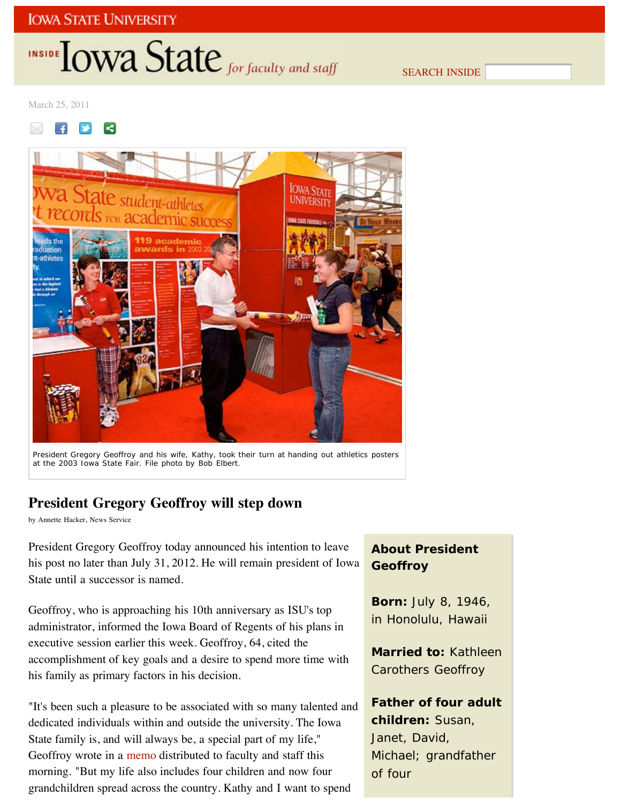## INSIDE **IOWA State** for faculty and staff

SEARCH INSIDE

March 25, 2011

#### R  $\overline{f}$



President Gregory Geoffroy and his wife, Kathy, took their turn at handing out athletics posters at the 2003 Iowa State Fair. *File photo by Bob Elbert.*

## **President Gregory Geoffroy will step down**

by Annette Hacker, News Service

President Gregory Geoffroy today announced his intention to leave his post no later than July 31, 2012. He will remain president of Iowa State until a successor is named.

Geoffroy, who is approaching his 10th anniversary as ISU's top administrator, informed the Iowa Board of Regents of his plans in executive session earlier this week. Geoffroy, 64, cited the accomplishment of key goals and a desire to spend more time with his family as primary factors in his decision.

"It's been such a pleasure to be associated with so many talented and dedicated individuals within and outside the university. The Iowa State family is, and will always be, a special part of my life," Geoffroy wrote in a memo distributed to faculty and staff this morning. "But my life also includes four children and now four grandchildren spread across the country. Kathy and I want to spend

## **About President Geoffroy**

**Born:** July 8, 1946, in Honolulu, Hawaii

**Married to:** Kathleen Carothers Geoffroy

**Father of four adult children:** Susan, Janet, David, Michael; grandfather of four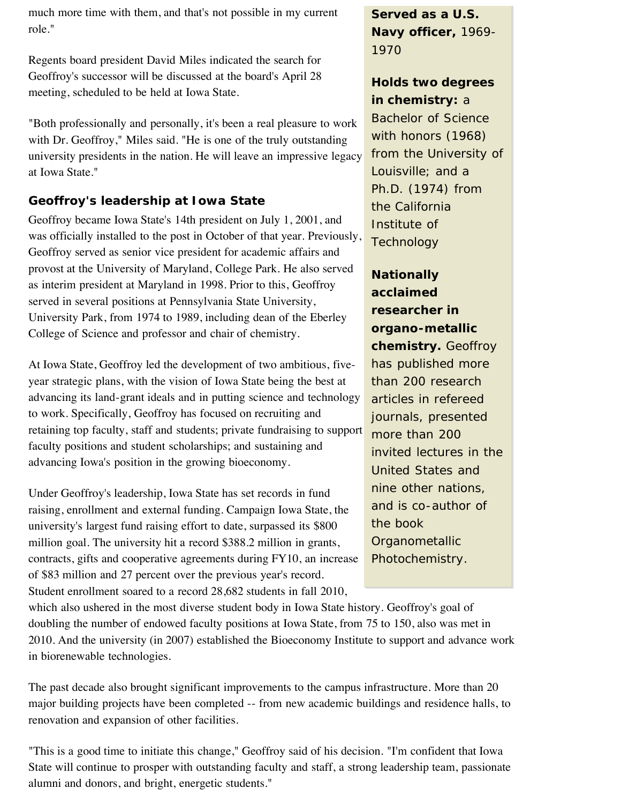much more time with them, and that's not possible in my current role."

Regents board president David Miles indicated the search for Geoffroy's successor will be discussed at the board's April 28 meeting, scheduled to be held at Iowa State.

"Both professionally and personally, it's been a real pleasure to work with Dr. Geoffroy," Miles said. "He is one of the truly outstanding university presidents in the nation. He will leave an impressive legacy at Iowa State."

## **Geoffroy's leadership at Iowa State**

Geoffroy became Iowa State's 14th president on July 1, 2001, and was officially installed to the post in October of that year. Previously, Geoffroy served as senior vice president for academic affairs and provost at the University of Maryland, College Park. He also served as interim president at Maryland in 1998. Prior to this, Geoffroy served in several positions at Pennsylvania State University, University Park, from 1974 to 1989, including dean of the Eberley College of Science and professor and chair of chemistry.

At Iowa State, Geoffroy led the development of two ambitious, fiveyear strategic plans, with the vision of Iowa State being the best at advancing its land-grant ideals and in putting science and technology to work. Specifically, Geoffroy has focused on recruiting and retaining top faculty, staff and students; private fundraising to support faculty positions and student scholarships; and sustaining and advancing Iowa's position in the growing bioeconomy.

Under Geoffroy's leadership, Iowa State has set records in fund raising, enrollment and external funding. Campaign Iowa State, the university's largest fund raising effort to date, surpassed its \$800 million goal. The university hit a record \$388.2 million in grants, contracts, gifts and cooperative agreements during FY10, an increase of \$83 million and 27 percent over the previous year's record. Student enrollment soared to a record 28,682 students in fall 2010,

which also ushered in the most diverse student body in Iowa State history. Geoffroy's goal of doubling the number of endowed faculty positions at Iowa State, from 75 to 150, also was met in 2010. And the university (in 2007) established the Bioeconomy Institute to support and advance work in biorenewable technologies.

The past decade also brought significant improvements to the campus infrastructure. More than 20 major building projects have been completed -- from new academic buildings and residence halls, to renovation and expansion of other facilities.

"This is a good time to initiate this change," Geoffroy said of his decision. "I'm confident that Iowa State will continue to prosper with outstanding faculty and staff, a strong leadership team, passionate alumni and donors, and bright, energetic students."

**Served as a U.S. Navy officer,** 1969- 1970

## **Holds two degrees in chemistry:** a

Bachelor of Science with honors (1968) from the University of Louisville; and a Ph.D. (1974) from the California Institute of **Technology** 

**Nationally acclaimed researcher in organo-metallic chemistry.** Geoffroy has published more than 200 research articles in refereed journals, presented more than 200 invited lectures in the United States and nine other nations, and is co-author of the book *Organometallic Photochemistry*.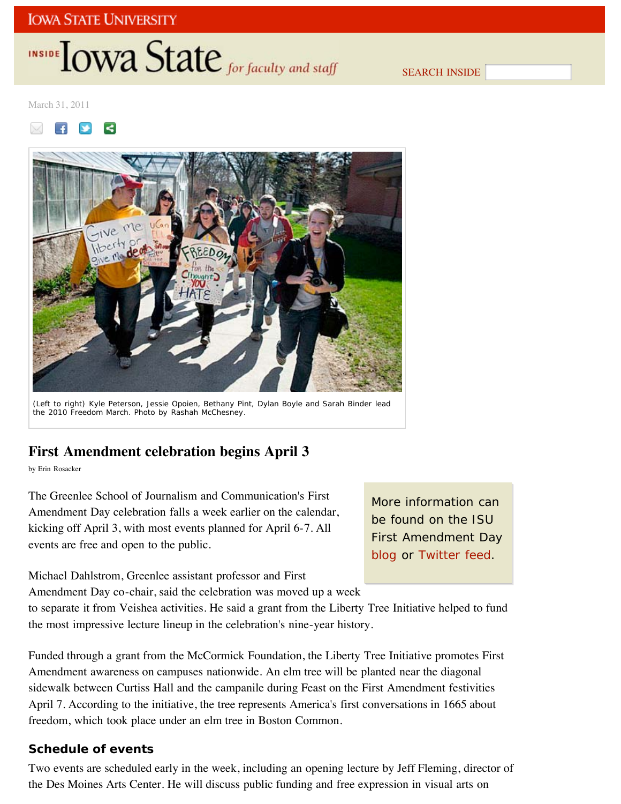## INSIDE **IOWA State** for faculty and staff

SEARCH INSIDE

March 31, 2011





(Left to right) Kyle Peterson, Jessie Opoien, Bethany Pint, Dylan Boyle and Sarah Binder lead the 2010 Freedom March. *Photo by Rashah McChesney*.

## **First Amendment celebration begins April 3**

by Erin Rosacker

The Greenlee School of Journalism and Communication's First Amendment Day celebration falls a week earlier on the calendar, kicking off April 3, with most events planned for April 6-7. All events are free and open to the public.

More information can be found on the ISU First Amendment Day blog or Twitter feed.

Michael Dahlstrom, Greenlee assistant professor and First

Amendment Day co-chair, said the celebration was moved up a week

to separate it from Veishea activities. He said a grant from the Liberty Tree Initiative helped to fund the most impressive lecture lineup in the celebration's nine-year history.

Funded through a grant from the McCormick Foundation, the Liberty Tree Initiative promotes First Amendment awareness on campuses nationwide. An elm tree will be planted near the diagonal sidewalk between Curtiss Hall and the campanile during Feast on the First Amendment festivities April 7. According to the initiative, the tree represents America's first conversations in 1665 about freedom, which took place under an elm tree in Boston Common.

### **Schedule of events**

Two events are scheduled early in the week, including an opening lecture by Jeff Fleming, director of the Des Moines Arts Center. He will discuss public funding and free expression in visual arts on